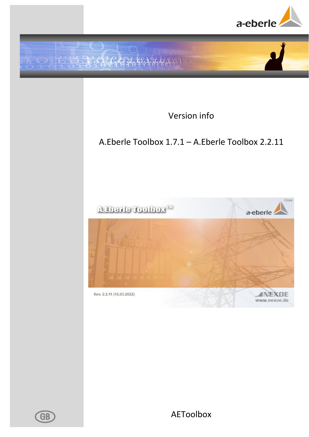



Version info

# <span id="page-0-0"></span>A.Eberle Toolbox 1.7.1 – A.Eberle Toolbox 2.2.11



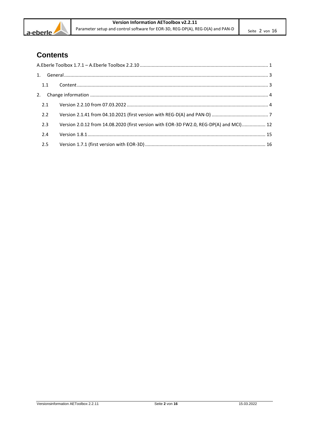

# **Contents**

| 1.1 |     |                                                                                        |  |
|-----|-----|----------------------------------------------------------------------------------------|--|
|     |     |                                                                                        |  |
|     | 2.1 |                                                                                        |  |
|     | 2.2 |                                                                                        |  |
|     | 2.3 | Version 2.0.12 from 14.08.2020 (first version with EOR-3D FW2.0, REG-DP(A) and MCI) 12 |  |
|     | 2.4 |                                                                                        |  |
|     | 2.5 |                                                                                        |  |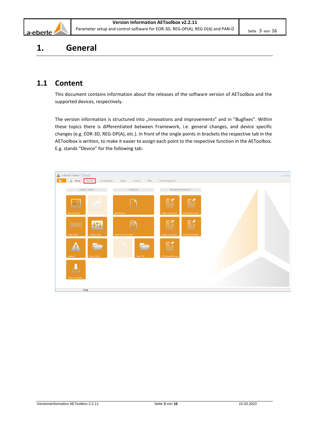

# <span id="page-2-0"></span>**1. General**

# <span id="page-2-1"></span>**1.1 Content**

This document contains information about the releases of the software version of AEToolbox and the supported devices, respectively.

The version information is structured into "Innovations and improvements" and in "Bugfixes". Within these topics there is differentiated between Framework, i.e. general changes, and device specific changes (e.g. EOR-3D, REG-DP(A), etc.). In front of the single points in brackets the respective tab in the AEToolbox is written, to make it easier to assign each point to the respective function in the AEToolbox. E.g. stands "Device" for the following tab:

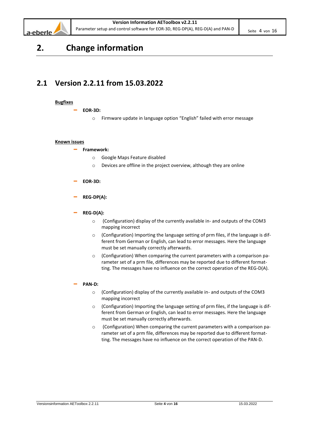

# <span id="page-3-0"></span>**2. Change information**

# <span id="page-3-1"></span>**2.1 Version 2.2.11 from 15.03.2022**

# **Bugfixes**

- **EOR-3D:**
	- o Firmware update in language option "English" failed with error message

#### **Known issues**

#### – **Framework:**

- o Google Maps Feature disabled
- o Devices are offline in the project overview, although they are online
- **EOR-3D:**
- **REG-DP(A):**
- **REG-D(A):**
	- o (Configuration) display of the currently available in- and outputs of the COM3 mapping incorrect
	- o (Configuration) Importing the language setting of prm files, if the language is different from German or English, can lead to error messages. Here the language must be set manually correctly afterwards.
	- o (Configuration) When comparing the current parameters with a comparison parameter set of a prm file, differences may be reported due to different formatting. The messages have no influence on the correct operation of the REG-D(A).
- **PAN-D:**
	- o (Configuration) display of the currently available in- and outputs of the COM3 mapping incorrect
	- o (Configuration) Importing the language setting of prm files, if the language is different from German or English, can lead to error messages. Here the language must be set manually correctly afterwards.
	- o (Configuration) When comparing the current parameters with a comparison parameter set of a prm file, differences may be reported due to different formatting. The messages have no influence on the correct operation of the PAN-D.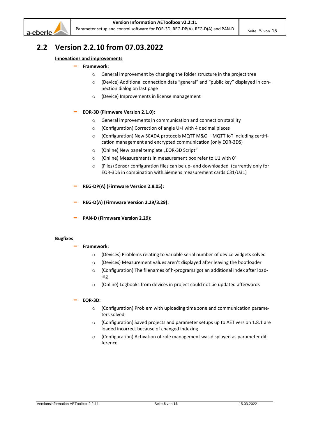

# **2.2 Version 2.2.10 from 07.03.2022**

# **Innovations and improvements**

# – **Framework:**

- o General improvement by changing the folder structure in the project tree
- o (Device) Additional connection data "general" and "public key" displayed in connection dialog on last page
- o (Device) Improvements in license management

# – **EOR-3D (Firmware Version 2.1.0):**

- o General improvements in communication and connection stability
- o (Configuration) Correction of angle U+I with 4 decimal places
- o (Configuration) New SCADA protocols MQTT M&O + MQTT IoT including certification management and encrypted communication (only EOR-3DS)
- o (Online) New panel template "EOR-3D Script"
- o (Online) Measurements in measurement box refer to U1 with 0°
- o (Files) Sensor configuration files can be up- and downloaded (currently only for EOR-3DS in combination with Siemens measurement cards C31/U31)
- **REG-DP(A) (Firmware Version 2.8.05):**
- **REG-D(A) (Firmware Version 2.29/3.29):**
- **PAN-D (Firmware Version 2.29):**

#### **Bugfixes**

- **Framework:**
	- o (Devices) Problems relating to variable serial number of device widgets solved
	- o (Devices) Measurement values aren't displayed after leaving the bootloader
	- o (Configuration) The filenames of h-programs got an additional index after loading
	- o (Online) Logbooks from devices in project could not be updated afterwards

- o (Configuration) Problem with uploading time zone and communication parameters solved
- o (Configuration) Saved projects and parameter setups up to AET version 1.8.1 are loaded incorrect because of changed indexing
- o (Configuration) Activation of role management was displayed as parameter difference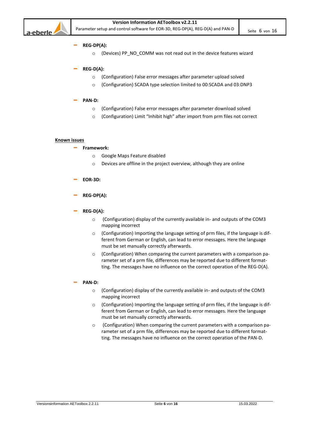

#### – **REG-DP(A):**

o (Devices) PP\_NO\_COMM was not read out in the device features wizard

# – **REG-D(A):**

- o (Configuration) False error messages after parameter upload solved
- o (Configuration) SCADA type selection limited to 00:SCADA and 03:DNP3

#### – **PAN-D:**

- o (Configuration) False error messages after parameter download solved
- o (Configuration) Limit "Inhibit high" after import from prm files not correct

#### **Known issues**

# – **Framework:**

- o Google Maps Feature disabled
- o Devices are offline in the project overview, although they are online
- **EOR-3D:**

# – **REG-DP(A):**

# – **REG-D(A):**

- o (Configuration) display of the currently available in- and outputs of the COM3 mapping incorrect
- o (Configuration) Importing the language setting of prm files, if the language is different from German or English, can lead to error messages. Here the language must be set manually correctly afterwards.
- o (Configuration) When comparing the current parameters with a comparison parameter set of a prm file, differences may be reported due to different formatting. The messages have no influence on the correct operation of the REG-D(A).

#### – **PAN-D:**

- o (Configuration) display of the currently available in- and outputs of the COM3 mapping incorrect
- $\circ$  (Configuration) Importing the language setting of prm files, if the language is different from German or English, can lead to error messages. Here the language must be set manually correctly afterwards.
- o (Configuration) When comparing the current parameters with a comparison parameter set of a prm file, differences may be reported due to different formatting. The messages have no influence on the correct operation of the PAN-D.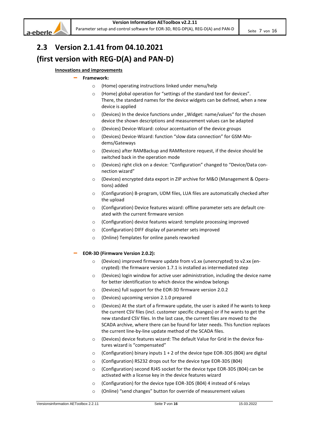

# <span id="page-6-0"></span>**2.3 Version 2.1.41 from 04.10.2021 (first version with REG-D(A) and PAN-D)**

# **Innovations and improvements**

#### – **Framework:**

- o (Home) operating instructions linked under menu/help
- o (Home) global operation for "settings of the standard text for devices". There, the standard names for the device widgets can be defined, when a new device is applied
- $\circ$  (Devices) In the device functions under "Widget: name/values" for the chosen device the shown descriptions and measurement values can be adapted
- o (Devices) Device-Wizard: colour accentuation of the device groups
- (Devices) Device-Wizard: function "slow data connection" for GSM-Modems/Gateways
- o (Devices) after RAMBackup and RAMRestore request, if the device should be switched back in the operation mode
- o (Devices) right click on a device: "Configuration" changed to "Device/Data connection wizard"
- o (Devices) encrypted data export in ZIP archive for M&O (Management & Operations) added
- $\circ$  (Configuration) B-program, UDM files, LUA files are automatically checked after the upload
- o (Configuration) Device features wizard: offline parameter sets are default created with the current firmware version
- o (Configuration) device features wizard: template processing improved
- o (Configuration) DIFF display of parameter sets improved
- o (Online) Templates for online panels reworked
- **EOR-3D (Firmware Version 2.0.2):**
	- o (Devices) improved firmware update from v1.xx (unencrypted) to v2.xx (encrypted): the firmware version 1.7.1 is installed as intermediated step
	- o (Devices) login window for active user administration, including the device name for better identification to which device the window belongs
	- o (Devices) full support for the EOR-3D firmware version 2.0.2
	- o (Devices) upcoming version 2.1.0 prepared
	- $\circ$  (Devices) At the start of a firmware update, the user is asked if he wants to keep the current CSV files (incl. customer specific changes) or if he wants to get the new standard CSV files. In the last case, the current files are moved to the SCADA archive, where there can be found for later needs. This function replaces the current line-by-line update method of the SCADA files.
	- o (Devices) device features wizard: The default Value for Grid in the device features wizard is "compensated"
	- $\circ$  (Configuration) binary inputs 1 + 2 of the device type EOR-3DS (B04) are digital
	- o (Configuration) RS232 drops out for the device type EOR-3DS (B04)
	- o (Configuration) second RJ45 socket for the device type EOR-3DS (B04) can be activated with a license key in the device features wizard
	- o (Configuration) for the device type EOR-3DS (B04) 4 instead of 6 relays
	- o (Online) "send changes" button for override of measurement values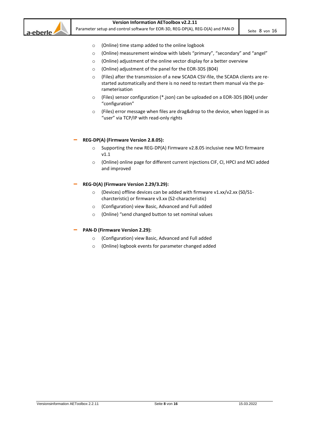

#### **Version Information AEToolbox v2.2.11**

Parameter setup and control software for EOR-3D, REG-DP(A), REG-D(A) and PAN-D Seite 8 von 16

- o (Online) time stamp added to the online logbook
- o (Online) measurement window with labels "primary", "secondary" and "angel"
- o (Online) adjustment of the online vector display for a better overview
- o (Online) adjustment of the panel for the EOR-3DS (B04)
- o (Files) after the transmission of a new SCADA CSV-file, the SCADA clients are restarted automatically and there is no need to restart them manual via the parameterisation
- o (Files) sensor configuration (\*.json) can be uploaded on a EOR-3DS (B04) under "configuration"
- o (Files) error message when files are drag&drop to the device, when logged in as "user" via TCP/IP with read-only rights

#### – **REG-DP(A) (Firmware Version 2.8.05):**

- o Supporting the new REG-DP(A) Firmware v2.8.05 inclusive new MCI firmware v1.1
- o (Online) online page for different current injections CIF, CI, HPCI and MCI added and improved

#### – **REG-D(A) (Firmware Version 2.29/3.29):**

- o (Devices) offline devices can be added with firmware v1.xx/v2.xx (S0/S1 charcteristic) or firmware v3.xx (S2-characteristic)
- o (Configuration) view Basic, Advanced and Full added
- o (Online) "send changed button to set nominal values

#### – **PAN-D (Firmware Version 2.29):**

- o (Configuration) view Basic, Advanced and Full added
- o (Online) logbook events for parameter changed added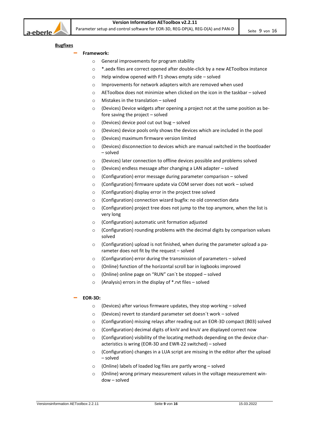

#### **Bugfixes**

- **Framework:**
	- o General improvements for program stability
	- o \*.aedx files are correct opened after double-click by a new AEToolbox instance
	- o Help window opened with F1 shows empty side solved
	- o Improvements for network adapters witch are removed when used
	- $\circ$  AEToolbox does not minimize when clicked on the icon in the taskbar solved
	- o Mistakes in the translation solved
	- o (Devices) Device widgets after opening a project not at the same position as before saving the project – solved
	- $\circ$  (Devices) device pool cut out bug solved
	- o (Devices) device pools only shows the devices which are included in the pool
	- o (Devices) maximum firmware version limited
	- o (Devices) disconnection to devices which are manual switched in the bootloader – solved
	- o (Devices) later connection to offline devices possible and problems solved
	- o (Devices) endless message after changing a LAN adapter solved
	- $\circ$  (Configuration) error message during parameter comparison solved
	- o (Configuration) firmware update via COM server does not work solved
	- o (Configuration) display error in the project tree solved
	- o (Configuration) connection wizard bugfix: no old connection data
	- $\circ$  (Configuration) project tree does not jump to the top anymore, when the list is very long
	- o (Configuration) automatic unit formation adjusted
	- o (Configuration) rounding problems with the decimal digits by comparison values solved
	- o (Configuration) upload is not finished, when during the parameter upload a parameter does not fit by the request – solved
	- o (Configuration) error during the transmission of parameters solved
	- o (Online) function of the horizontal scroll bar in logbooks improved
	- o (Online) online page on "RUN" can´t be stopped solved
	- $\circ$  (Analysis) errors in the display of \*.rvt files solved

- $\circ$  (Devices) after various firmware updates, they stop working solved
- o (Devices) revert to standard parameter set doesn´t work solved
- o (Configuration) missing relays after reading out an EOR-3D compact (B03) solved
- o (Configuration) decimal digits of kniV and knuV are displayed correct now
- o (Configuration) visibility of the locating methods depending on the device characteristics is wring (EOR-3D and EWR-22 switched) – solved
- o (Configuration) changes in a LUA script are missing in the editor after the upload – solved
- o (Online) labels of loaded log files are partly wrong solved
- $\circ$  (Online) wrong primary measurement values in the voltage measurement window – solved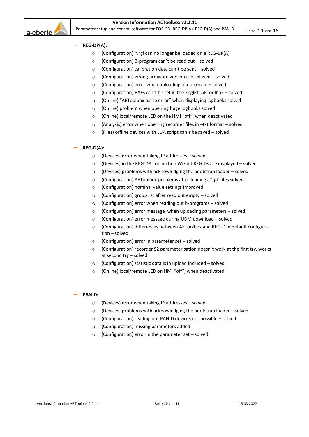

- **REG-DP(A):**
	- o (Configuration) \*.rgl can no longer be loaded on a REG-DP(A)
	- $\circ$  (Configuration) B-program can't be read out solved
	- o (Configuration) calibration data can´t be sent solved
	- o (Configuration) wrong firmware version is displayed solved
	- $\circ$  (Configuration) error when uploading a b-program solved
	- o (Configuration) BAFs can´t be set in the English AEToolbox solved
	- o (Online) "AEToolbox parse error" when displaying logbooks solved
	- o (Online) problem when opening huge logbooks solved
	- o (Online) local/remote LED on the HMI "off", when deactivated
	- o (Analysis) error when opening recorder files in –txt format solved
	- o (Files) offline devices with LUA script can´t be saved solved

# – **REG-D(A):**

- o (Devices) error when taking IP addresses solved
- o (Devices) in the REG-DA connection Wizard REG-Ds are displayed solved
- o (Devices) problems with acknowledging the bootstrap loader solved
- o (Configuration) AEToolbox problems after loading a\*rgl. files solved
- o (Configuration) nominal value settings improved
- o (Configuration) group list after read out empty solved
- o (Configuration) error when reading out b-programs solved
- $\circ$  (Configuration) error message when uploading parameters solved
- o (Configuration) error message during UDM download solved
- (Configuration) differences between AEToolbox and REG-D in default configuration – solved
- o (Configuration) error in parameter set solved
- $\circ$  (Configuration) recorder S2 parameterisation doesn't work at the first try, works at second try – solved
- o (Configuration) statistic data is in upload included solved
- o (Online) local/remote LED on HMI "off", when deactivated

# – **PAN-D:**

- o (Devices) error when taking IP addresses solved
- $\circ$  (Devices) problems with acknowledging the bootstrap loader solved
- o (Configuration) reading out PAN-D devices not possible solved
- o (Configuration) missing parameters added
- o (Configuration) error in the parameter set solved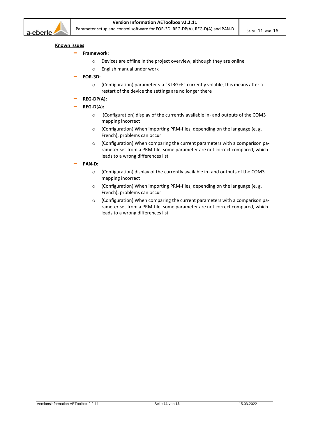

#### **Known issues**

- **Framework:**
	- o Devices are offline in the project overview, although they are online
	- o English manual under work
- **EOR-3D:**
	- o (Configuration) parameter via "STRG+E" currently volatile, this means after a restart of the device the settings are no longer there
- **REG-DP(A):**
- **REG-D(A):**
	- o (Configuration) display of the currently available in- and outputs of the COM3 mapping incorrect
	- o (Configuration) When importing PRM-files, depending on the language (e. g. French), problems can occur
	- o (Configuration) When comparing the current parameters with a comparison parameter set from a PRM-file, some parameter are not correct compared, which leads to a wrong differences list
- **PAN-D:**
	- o (Configuration) display of the currently available in- and outputs of the COM3 mapping incorrect
	- o (Configuration) When importing PRM-files, depending on the language (e. g. French), problems can occur
	- o (Configuration) When comparing the current parameters with a comparison parameter set from a PRM-file, some parameter are not correct compared, which leads to a wrong differences list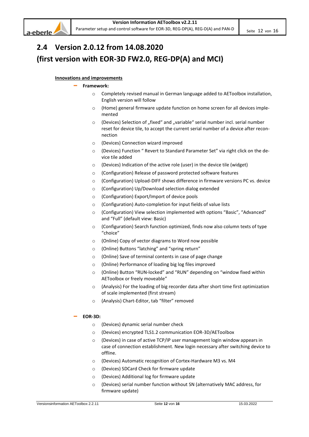



# <span id="page-11-0"></span>**2.4 Version 2.0.12 from 14.08.2020 (first version with EOR-3D FW2.0, REG-DP(A) and MCI)**

# **Innovations and improvements**

#### – **Framework:**

- o Completely revised manual in German language added to AEToolbox installation, English version will follow
- o (Home) general firmware update function on home screen for all devices implemented
- $\circ$  (Devices) Selection of "fixed" and "variable" serial number incl. serial number reset for device tile, to accept the current serial number of a device after reconnection
- o (Devices) Connection wizard improved
- o (Devices) Function " Revert to Standard Parameter Set" via right click on the device tile added
- o (Devices) Indication of the active role (user) in the device tile (widget)
- o (Configuration) Release of password protected software features
- o (Configuration) Upload-DIFF shows difference in firmware versions PC vs. device
- o (Configuration) Up/Download selection dialog extended
- o (Configuration) Export/Import of device pools
- o (Configuration) Auto-completion for input fields of value lists
- o (Configuration) View selection implemented with options "Basic", "Advanced" and "Full" (default view: Basic)
- (Configuration) Search function optimized, finds now also column texts of type "choice"
- o (Online) Copy of vector diagrams to Word now possible
- o (Online) Buttons "latching" and "spring return"
- o (Online) Save of terminal contents in case of page change
- o (Online) Performance of loading big log files improved
- o (Online) Button "RUN-locked" and "RUN" depending on "window fixed within AEToolbox or freely moveable"
- o (Analysis) For the loading of big recorder data after short time first optimization of scale implemented (first stream)
- o (Analysis) Chart-Editor, tab "filter" removed

- o (Devices) dynamic serial number check
- o (Devices) encrypted TLS1.2 communication EOR-3D/AEToolbox
- (Devices) in case of active TCP/IP user management login window appears in case of connection establishment. New login necessary after switching device to offline.
- o (Devices) Automatic recognition of Cortex-Hardware M3 vs. M4
- o (Devices) SDCard Check for firmware update
- o (Devices) Additional log for firmware update
- o (Devices) serial number function without SN (alternatively MAC address, for firmware update)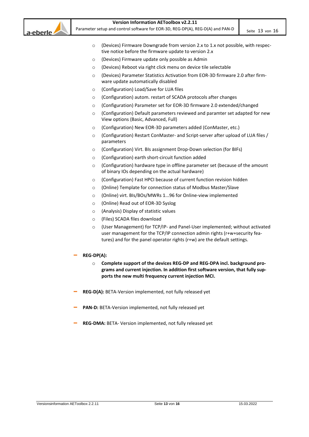

# **Version Information AEToolbox v2.2.11**

Parameter setup and control software for EOR-3D, REG-DP(A), REG-D(A) and PAN-D seite 13 von 16

- o (Devices) Firmware Downgrade from version 2.x to 1.x not possible, with respective notice before the firmware update to version 2.x
- o (Devices) Firmware update only possible as Admin
- o (Devices) Reboot via right click menu on device tile selectable
- (Devices) Parameter Statistics Activation from EOR-3D firmware 2.0 after firmware update automatically disabled
- o (Configuration) Load/Save for LUA files
- o (Configuration) autom. restart of SCADA protocols after changes
- o (Configuration) Parameter set for EOR-3D firmware 2.0 extended/changed
- o (Configuration) Default parameters reviewed and paramter set adapted for new View options (Basic, Advanced, Full)
- o (Configuration) New EOR-3D parameters added (ConMaster, etc.)
- o (Configuration) Restart ConMaster- and Script-server after upload of LUA files / parameters
- o (Configuration) Virt. BIs assignment Drop-Down selection (for BIFs)
- o (Configuration) earth short-circuit function added
- o (Configuration) hardware type in offline parameter set (because of the amount of binary IOs depending on the actual hardware)
- o (Configuration) Fast HPCI because of current function revision hidden
- o (Online) Template for connection status of Modbus Master/Slave
- o (Online) virt. BIs/BOs/MWRs 1...96 for Online-view implemented
- o (Online) Read out of EOR-3D Syslog
- o (Analysis) Display of statistic values
- o (Files) SCADA files download
- o (User Management) for TCP/IP- and Panel-User implemented; without activated user management for the TCP/IP connection admin rights (r+w+security features) and for the panel operator rights (r+w) are the default settings.
- **REG-DP(A):**
	- o **Complete support of the devices REG-DP and REG-DPA incl. background programs and current injection. In addition first software version, that fully supports the new multi frequency current injection MCI.**
- **REG-D(A):** BETA-Version implemented, not fully released yet
- **PAN-D:** BETA-Version implemented, not fully released yet
- **REG-DMA:** BETA- Version implemented, not fully released yet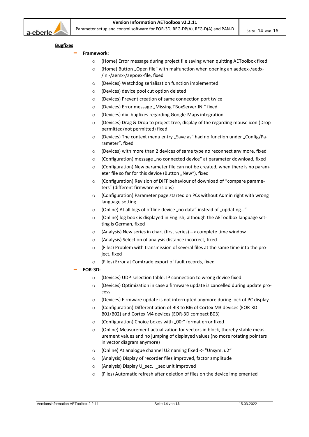

#### **Bugfixes**

- **Framework:**
	- o (Home) Error message during project file saving when quitting AEToolbox fixed
	- o (Home) Button "Open file" with malfunction when opening an aedeex-/aedx-/ini-/aemx-/aepoex-file, fixed
	- o (Devices) Watchdog serialisation function implemented
	- o (Devices) device pool cut option deleted
	- o (Devices) Prevent creation of same connection port twice
	- o (Devices) Error message "Missing TBoxServer.INI" fixed
	- o (Devices) div. bugfixes regarding Google-Maps integration
	- o (Devices) Drag & Drop to project tree, display of the regarding mouse icon (Drop permitted/not permitted) fixed
	- $\circ$  (Devices) The context menu entry "Save as" had no function under "Config/Parameter", fixed
	- o (Devices) with more than 2 devices of same type no reconnect any more, fixed
	- o (Configuration) message "no connected device" at parameter download, fixed
	- o (Configuration) New parameter file can not be created, when there is no parameter file so far for this device (Button "New"), fixed
	- o (Configuration) Revision of DIFF behaviour of download of "compare parameters" (different firmware versions)
	- o (Configuration) Parameter page started on PCs without Admin right with wrong language setting
	- $\circ$  (Online) At all logs of offline device "no data" instead of "updating..."
	- o (Online) log book is displayed in English, although the AEToolbox language setting is German, fixed
	- o (Analysis) New series in chart (first series) --> complete time window
	- o (Analysis) Selection of analysis distance incorrect, fixed
	- $\circ$  (Files) Problem with transmission of several files at the same time into the project, fixed
	- o (Files) Error at Comtrade export of fault records, fixed

- o (Devices) UDP-selection table: IP connection to wrong device fixed
- $\circ$  (Devices) Optimization in case a firmware update is cancelled during update process
- o (Devices) Firmware update is not interrupted anymore during lock of PC display
- o (Configuration) Differentiation of BI3 to BI6 of Cortex M3 devices (EOR-3D B01/B02) and Cortex M4 devices (EOR-3D compact B03)
- $\circ$  (Configuration) Choice boxes with ..00:" format error fixed
- o (Online) Measurement [actualization](https://www.linguee.de/englisch-deutsch/uebersetzung/actualization.html) for vectors in block, thereby stable measurement values and no jumping of displayed values (no more rotating pointers in vector diagram anymore)
- o (Online) At analogue channel U2 naming fixed -> "Unsym. u2"
- o (Analysis) Display of recorder files improved, factor amplitude
- o (Analysis) Display U\_sec, I\_sec unit improved
- o (Files) Automatic refresh after deletion of files on the device implemented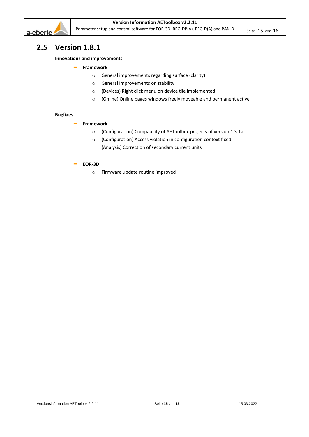

# <span id="page-14-0"></span>**2.5 Version 1.8.1**

# **Innovations and improvements**

# – **Framework**

- o General improvements regarding surface (clarity)
- o General improvements on stability
- o (Devices) Right click menu on device tile implemented
- o (Online) Online pages windows freely moveable and permanent active

#### **Bugfixes**

# – **Framework**

- o (Configuration) Compability of AEToolbox projects of version 1.3.1a
- o (Configuration) Access violation in configuration context fixed (Analysis) Correction of secondary current units

# – **EOR-3D**

o Firmware update routine improved